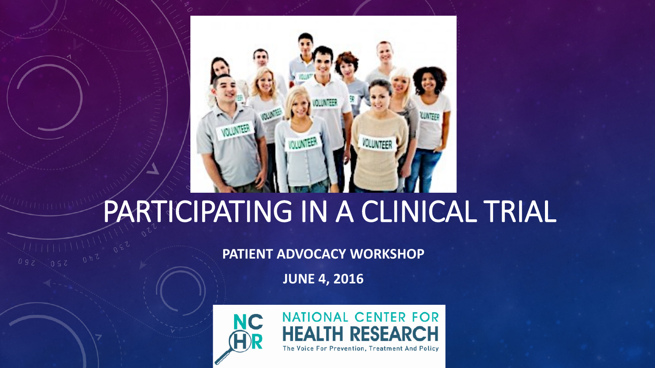

## PARTICIPATING IN A CLINICAL TRIAL

**PATIENT ADVOCACY WORKSHOP**

**JUNE 4, 2016**

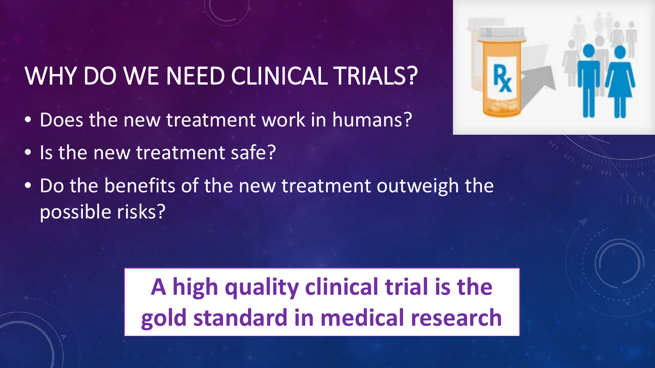## WHY DO WE NEED CLINICAL TRIALS?

- Does the new treatment work in humans?
- Is the new treatment safe?



• Do the benefits of the new treatment outweigh the possible risks?

> **A high quality clinical trial is the gold standard in medical research**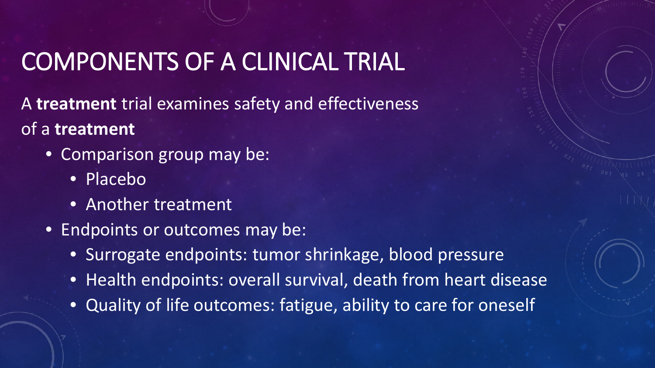#### COMPONENTS OF A CLINICAL TRIAL

A **treatment** trial examines safety and effectiveness of a **treatment**

- Comparison group may be:
	- Placebo
	- Another treatment
- Endpoints or outcomes may be:
	- Surrogate endpoints: tumor shrinkage, blood pressure
	- Health endpoints: overall survival, death from heart disease
	- Quality of life outcomes: fatigue, ability to care for oneself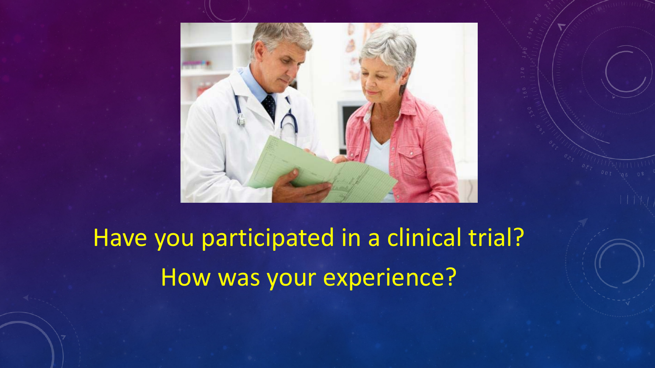

Have you participated in a clinical trial? How was your experience?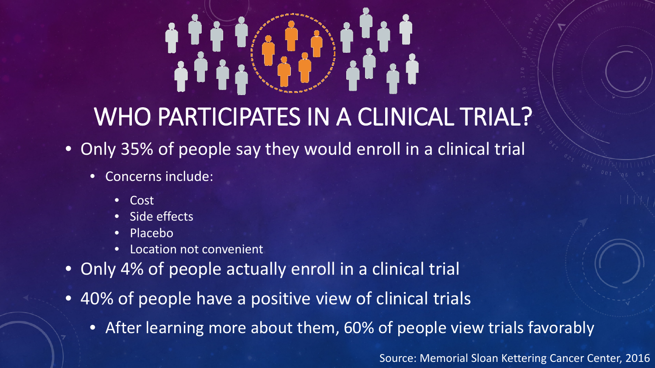# 

#### WHO PARTICIPATES IN A CLINICAL TRIAL?

- Only 35% of people say they would enroll in a clinical trial
	- Concerns include:
		- Cost
		- Side effects
		- Placebo
		- Location not convenient
- Only 4% of people actually enroll in a clinical trial
- 40% of people have a positive view of clinical trials
	- After learning more about them, 60% of people view trials favorably

Source: Memorial Sloan Kettering Cancer Center, 2016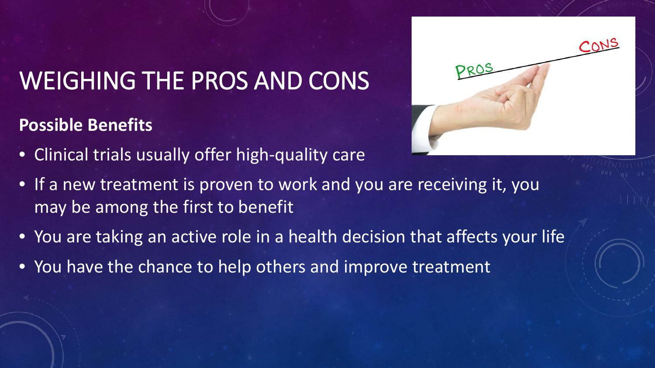### WEIGHING THE PROS AND CONS

#### **Possible Benefits**

- Clinical trials usually offer high-quality care
- If a new treatment is proven to work and you are receiving it, you may be among the first to benefit
- You are taking an active role in a health decision that affects your life
- You have the chance to help others and improve treatment

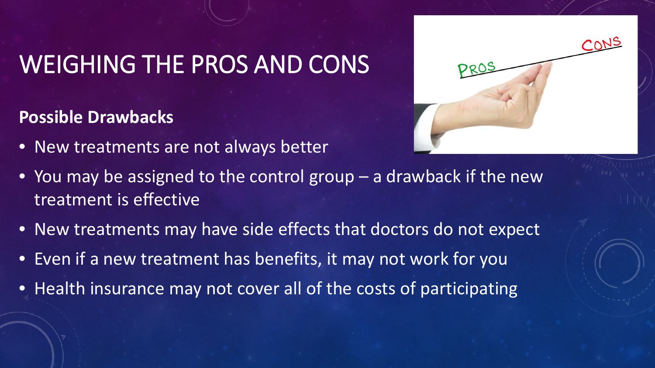#### WEIGHING THE PROS AND CONS

**Possible Drawbacks** 

• New treatments are not always better



- You may be assigned to the control group a drawback if the new treatment is effective
- New treatments may have side effects that doctors do not expect
- Even if a new treatment has benefits, it may not work for you
- Health insurance may not cover all of the costs of participating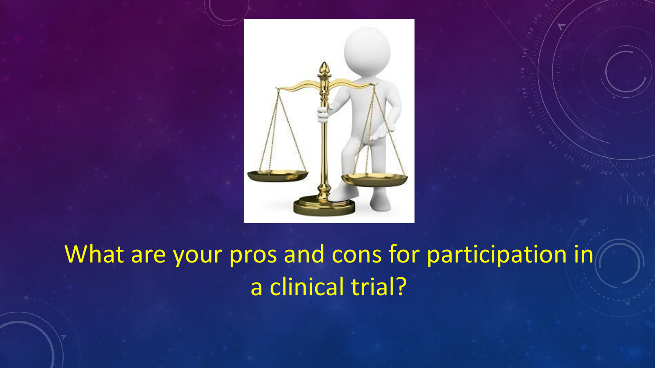



What are your pros and cons for participation in a clinical trial?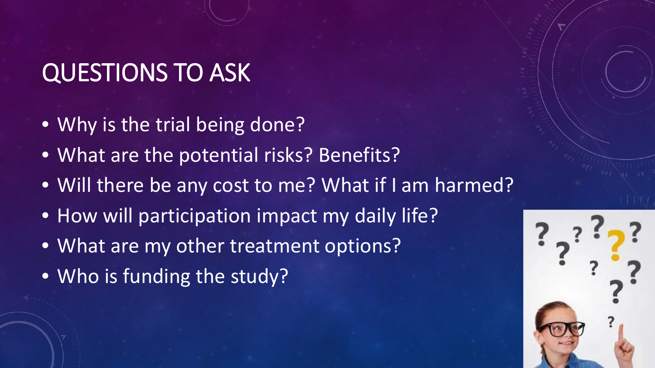### QUESTIONS TO ASK

- Why is the trial being done?
- What are the potential risks? Benefits?
- Will there be any cost to me? What if I am harmed?
- How will participation impact my daily life?
- What are my other treatment options?
- Who is funding the study?

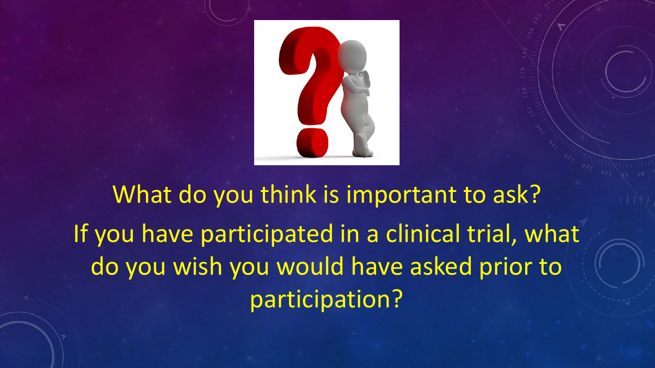

What do you think is important to ask? If you have participated in a clinical trial, what do you wish you would have asked prior to participation?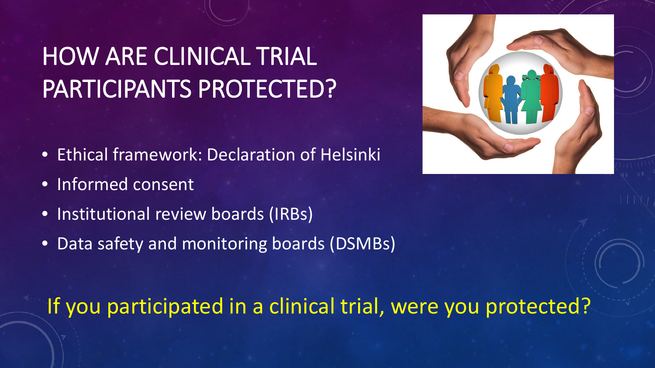## HOW ARE CLINICAL TRIAL PARTICIPANTS PROTECTED?

- Ethical framework: Declaration of Helsinki
- Informed consent
- Institutional review boards (IRBs)
- Data safety and monitoring boards (DSMBs)



#### If you participated in a clinical trial, were you protected?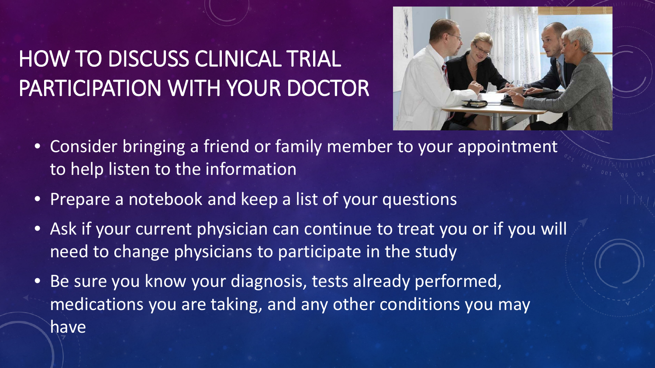#### HOW TO DISCUSS CLINICAL TRIAL PARTICIPATION WITH YOUR DOCTOR



- Consider bringing a friend or family member to your appointment to help listen to the information
- Prepare a notebook and keep a list of your questions
- Ask if your current physician can continue to treat you or if you will need to change physicians to participate in the study
- Be sure you know your diagnosis, tests already performed, medications you are taking, and any other conditions you may have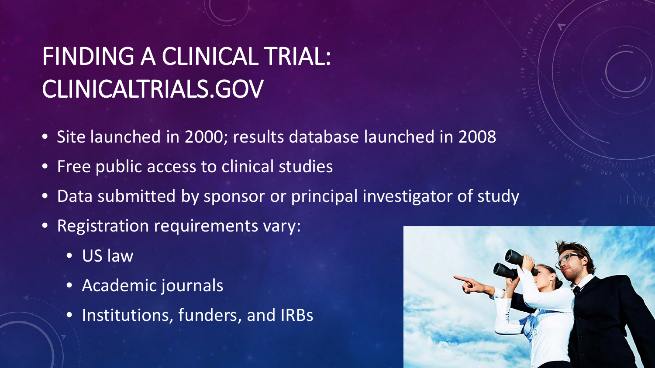## FINDING A CLINICAL TRIAL: CLINICALTRIALS.GOV

- Site launched in 2000; results database launched in 2008
- Free public access to clinical studies
- Data submitted by sponsor or principal investigator of study
- Registration requirements vary:
	- US law
	- Academic journals
	- Institutions, funders, and IRBs

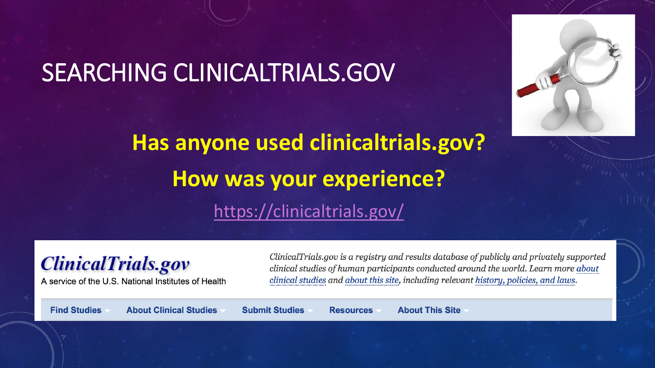#### SEARCHING CLINICALTRIALS.GOV



**Has anyone used clinicaltrials.gov? How was your experience?** <https://clinicaltrials.gov/>

#### **ClinicalTrials.gov**

A service of the U.S. National Institutes of Health

ClinicalTrials.gov is a registry and results database of publicly and privately supported clinical studies of human participants conducted around the world. Learn more about clinical studies and about this site, including relevant history, policies, and laws.

**Find Studies** 

**About Clinical Studies** 

**Submit Studies** 

**About This Site Resources**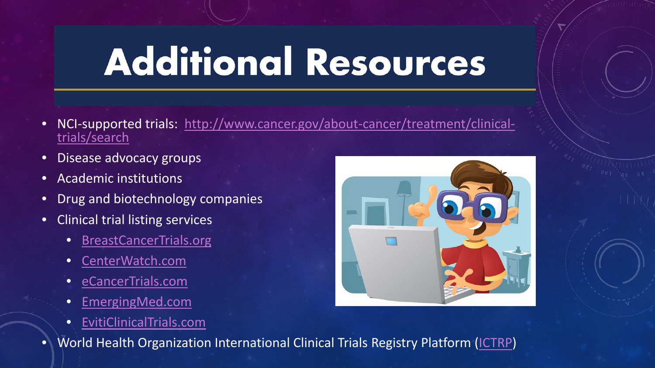## **Additional Resources**

- [NCI-supported trials: http://www.cancer.gov/about-cancer/treatment/clinical-](http://www.cancer.gov/about-cancer/treatment/clinical-trials/search)<br>trials/search
- Disease advocacy groups
- Academic institutions
- Drug and biotechnology companies
- Clinical trial listing services
	- [BreastCancerTrials.org](http://www.breastcancertrials.org/bct_nation/home.seam)
	- [CenterWatch.com](http://www.centerwatch.com/clinical-trials/)
	- [eCancerTrials.com](http://news.cancerconnect.com/clinical-trial-information/)
	- [EmergingMed.com](http://www.emergingmed.com/)
	- [EvitiClinicalTrials.com](https://www.eviticlinicaltrials.com/Services/)



• World Health Organization International Clinical Trials Registry Platform ([ICTRP\)](http://www.who.int/ictrp/en/)